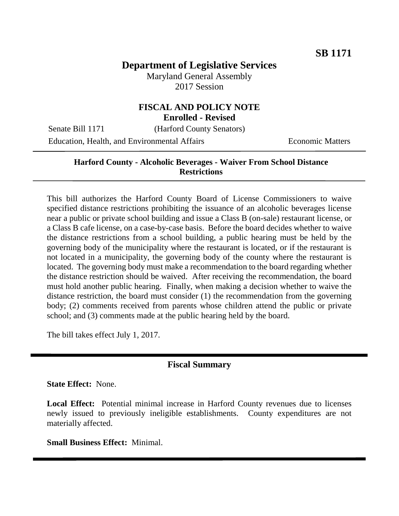# **Department of Legislative Services**

Maryland General Assembly 2017 Session

### **FISCAL AND POLICY NOTE Enrolled - Revised**

Senate Bill 1171 (Harford County Senators)

Education, Health, and Environmental Affairs Economic Matters

### **Harford County - Alcoholic Beverages - Waiver From School Distance Restrictions**

This bill authorizes the Harford County Board of License Commissioners to waive specified distance restrictions prohibiting the issuance of an alcoholic beverages license near a public or private school building and issue a Class B (on-sale) restaurant license, or a Class B cafe license, on a case-by-case basis. Before the board decides whether to waive the distance restrictions from a school building, a public hearing must be held by the governing body of the municipality where the restaurant is located, or if the restaurant is not located in a municipality, the governing body of the county where the restaurant is located. The governing body must make a recommendation to the board regarding whether the distance restriction should be waived. After receiving the recommendation, the board must hold another public hearing. Finally, when making a decision whether to waive the distance restriction, the board must consider (1) the recommendation from the governing body; (2) comments received from parents whose children attend the public or private school; and (3) comments made at the public hearing held by the board.

The bill takes effect July 1, 2017.

#### **Fiscal Summary**

**State Effect:** None.

**Local Effect:** Potential minimal increase in Harford County revenues due to licenses newly issued to previously ineligible establishments. County expenditures are not materially affected.

**Small Business Effect:** Minimal.